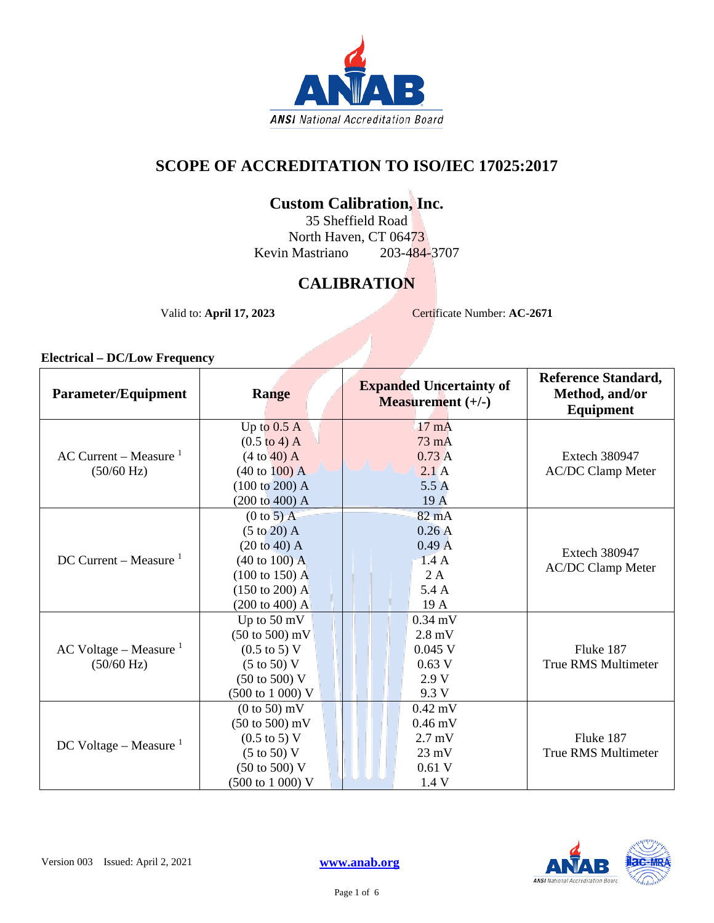

# **SCOPE OF ACCREDITATION TO ISO/IEC 17025:2017**

# **Custom Calibration, Inc.**

35 Sheffield Road North Haven, CT 06473 Kevin Mastriano 203-484-3707

# **CALIBRATION**

Valid to: **April 17, 2023** Certificate Number: **AC-2671** 

#### **Electrical – DC/Low Frequency**

| <b>Parameter/Equipment</b> | <b>Range</b>                       | <b>Expanded Uncertainty of</b><br><b>Measurement</b> $(+/-)$ | <b>Reference Standard,</b><br>Method, and/or<br>Equipment |
|----------------------------|------------------------------------|--------------------------------------------------------------|-----------------------------------------------------------|
|                            | Up to $0.5$ A                      | $17 \text{ mA}$                                              |                                                           |
|                            | $(0.5 \text{ to } 4) \text{ A}$    | 73 mA                                                        |                                                           |
| $AC$ Current – Measure $1$ | (4 to 40) A                        | 0.73A                                                        | <b>Extech 380947</b>                                      |
| $(50/60 \text{ Hz})$       | $(40 \text{ to } 100) \text{ A}$   | 2.1A                                                         | <b>AC/DC Clamp Meter</b>                                  |
|                            | $(100 \text{ to } 200)$ A          | 5.5A                                                         |                                                           |
|                            | $(200 \text{ to } 400)$ A          | 19 A                                                         |                                                           |
|                            | $(0 to 5)$ A                       | 82 mA                                                        |                                                           |
|                            | $(5 \text{ to } 20)$ A             | 0.26A                                                        |                                                           |
|                            | $(20 \text{ to } 40)$ A            | 0.49A                                                        | <b>Extech 380947</b>                                      |
| DC Current – Measure $1$   | $(40 \text{ to } 100) \text{ A}$   | 1.4A                                                         | <b>AC/DC Clamp Meter</b>                                  |
|                            | $(100 \text{ to } 150)$ A          | 2A                                                           |                                                           |
|                            | $(150 \text{ to } 200)$ A          | 5.4 A                                                        |                                                           |
|                            | $(200 \text{ to } 400)$ A          | 19 A                                                         |                                                           |
|                            | Up to $50 \text{ mV}$              | $0.34$ mV                                                    |                                                           |
|                            | $(50 \text{ to } 500) \text{ mV}$  | $2.8$ mV                                                     |                                                           |
| AC Voltage – Measure $1$   | $(0.5 \text{ to } 5) \text{ V}$    | $0.045$ V                                                    | Fluke 187                                                 |
| $(50/60 \text{ Hz})$       | $(5 \text{ to } 50)$ V             | 0.63 V                                                       | <b>True RMS Multimeter</b>                                |
|                            | $(50 \text{ to } 500) \text{ V}$   | 2.9V                                                         |                                                           |
|                            | $(500 \text{ to } 1000) \text{ V}$ | 9.3 V                                                        |                                                           |
| DC Voltage – Measure $1$   | $(0 \text{ to } 50)$ mV            | $0.42$ mV                                                    |                                                           |
|                            | $(50 \text{ to } 500) \text{ mV}$  | $0.46$ mV                                                    |                                                           |
|                            | $(0.5 \text{ to } 5) \text{ V}$    | $2.7$ mV                                                     | Fluke 187                                                 |
|                            | $(5 \text{ to } 50)$ V             | $23 \text{ mV}$                                              | <b>True RMS Multimeter</b>                                |
|                            | $(50 \text{ to } 500) \text{ V}$   | 0.61V                                                        |                                                           |
|                            | (500 to 1 000) V                   | 1.4 V                                                        |                                                           |

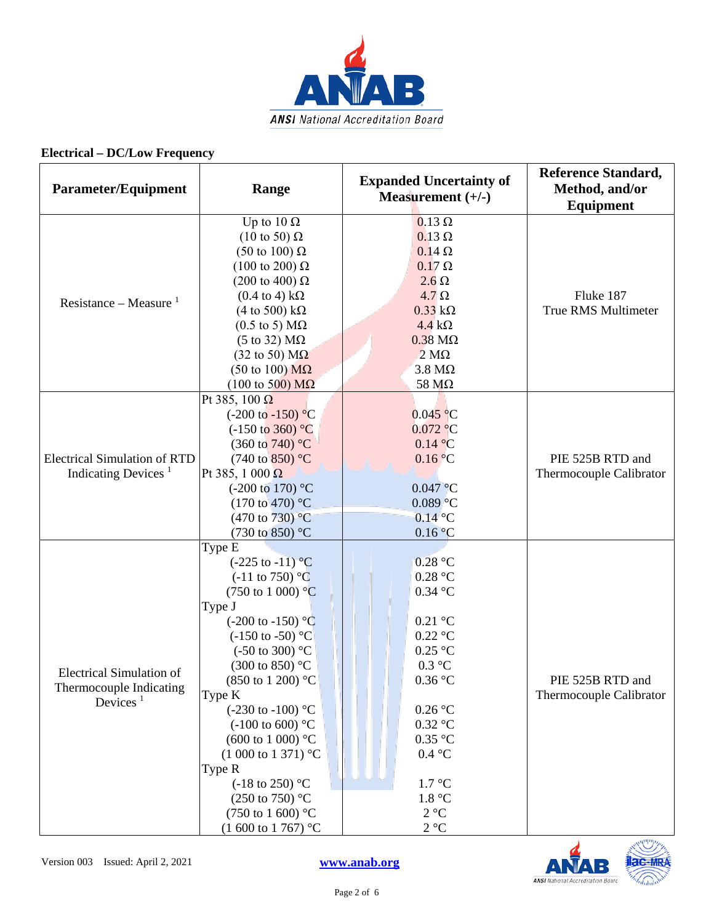

# **Electrical – DC/Low Frequency**

| <b>Parameter/Equipment</b>                                                         | Range                                                                                                                                                                                                                                                                                                                                                                                                                                                                                                                                                         | <b>Expanded Uncertainty of</b><br>Measurement $(+/-)$                                                                                                                                                                         | <b>Reference Standard,</b><br>Method, and/or<br><b>Equipment</b> |
|------------------------------------------------------------------------------------|---------------------------------------------------------------------------------------------------------------------------------------------------------------------------------------------------------------------------------------------------------------------------------------------------------------------------------------------------------------------------------------------------------------------------------------------------------------------------------------------------------------------------------------------------------------|-------------------------------------------------------------------------------------------------------------------------------------------------------------------------------------------------------------------------------|------------------------------------------------------------------|
| Resistance – Measure $1$                                                           | Up to $10 \Omega$<br>$(10 \text{ to } 50) \Omega$<br>(50 to 100) $\Omega$<br>$(100 \text{ to } 200) \Omega$<br>(200 to 400) $\Omega$<br>$(0.4 \text{ to } 4) \text{ k}\Omega$<br>(4 to 500) $k\Omega$<br>$(0.5 \text{ to } 5) \text{ M}\Omega$<br>$(5 \text{ to } 32) \text{ M}\Omega$<br>$(32 \text{ to } 50) \text{ M}\Omega$<br>(50 to 100) $\text{M}\Omega$<br>$(100 \text{ to } 500) \text{ M}\Omega$                                                                                                                                                    | $0.13 \Omega$<br>$0.13 \Omega$<br>$0.14 \Omega$<br>$0.17 \Omega$<br>$2.6 \Omega$<br>$4.7 \Omega$<br>$0.33 k\Omega$<br>$4.4 k\Omega$<br>$0.38 \text{ M}\Omega$<br>$2 \text{ M}\Omega$<br>$3.8 \text{ M}\Omega$<br>58 $M\Omega$ | Fluke 187<br><b>True RMS Multimeter</b>                          |
| <b>Electrical Simulation of RTD</b><br>Indicating Devices <sup>1</sup>             | Pt 385, 100 $\Omega$<br>$(-200 \text{ to } -150)$ °C<br>$(-150 \text{ to } 360)$ °C<br>$(360 \text{ to } 740)$ °C<br>$(740 \text{ to } 850)$ °C<br>Pt 385, 1 000 $\Omega$<br>$(-200 \text{ to } 170)$ °C<br>$(170 \text{ to } 470)$ °C<br>$(470 \text{ to } 730)$ <sup>o</sup> C<br>(730 to 850) °C                                                                                                                                                                                                                                                           | $0.045$ °C<br>0.072 °C<br>0.14 °C<br>0.16 °C<br>$0.047$ °C<br>$0.089$ °C<br>$0.14$ °C<br>0.16 °C                                                                                                                              | PIE 525B RTD and<br>Thermocouple Calibrator                      |
| <b>Electrical Simulation of</b><br>Thermocouple Indicating<br>Devices <sup>1</sup> | Type E<br>$(-225 \text{ to } -11)^{\circ}C$<br>$(-11 \text{ to } 750)$ °C<br>$(750 \text{ to } 1000)$ °C<br>Type J<br>$(-200 \text{ to } -150)$ °C<br>$(-150 \text{ to } -50)$ °C<br>$(-50 \text{ to } 300)$ °C<br>$(300 \text{ to } 850)$ °C<br>$(850 \text{ to } 1200)$ °C<br>Type K<br>$(-230 \text{ to } -100)$ °C<br>$(-100 \text{ to } 600)$ °C<br>$(600 \text{ to } 1000)$ °C<br>$(1000 \text{ to } 1371)$ °C<br>Type R<br>$(-18 \text{ to } 250)$ °C<br>$(250 \text{ to } 750)$ °C<br>$(750 \text{ to } 1600)$ °C<br>$(1\ 600\ \text{to}\ 1\ 767)$ °C | 0.28 °C<br>$0.28\ ^{\circ}\textrm{C}$<br>$0.34$ °C<br>$0.21$ °C<br>$0.22$ °C<br>$0.25$ °C<br>0.3 °C<br>0.36 °C<br>0.26 °C<br>$0.32$ °C<br>$0.35$ °C<br>0.4 °C<br>$1.7 \text{ }^{\circ}C$<br>1.8 °C<br>2 °C<br>2 °C            | PIE 525B RTD and<br>Thermocouple Calibrator                      |

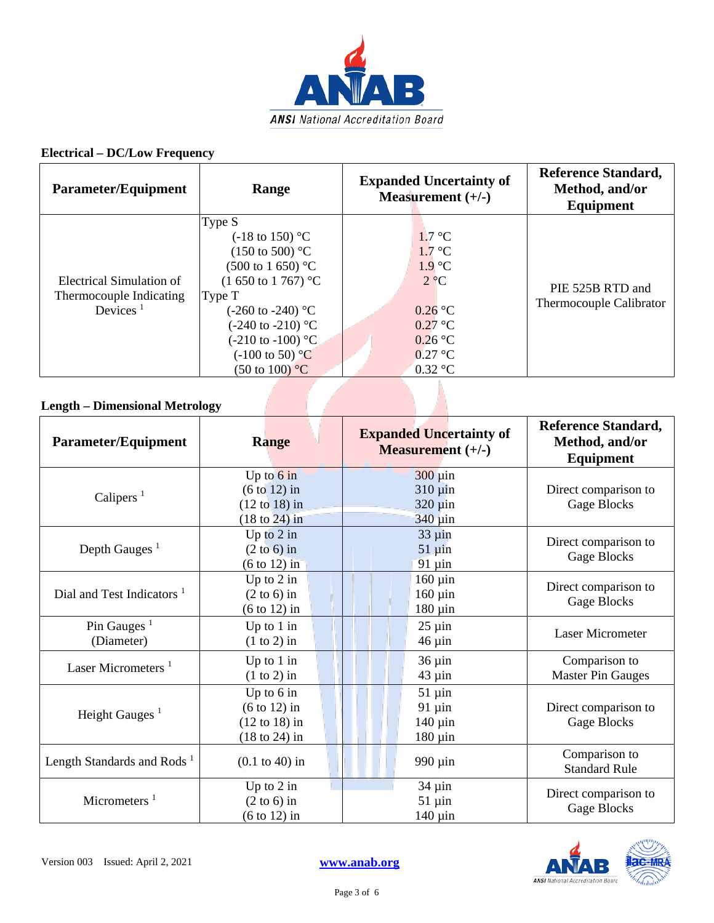

## **Electrical – DC/Low Frequency**

| <b>Parameter/Equipment</b>                                                               | Range                                                                                                                                                                                                                                                                                                               | <b>Expanded Uncertainty of</b><br>Measurement $(+/-)$                                                                                              | <b>Reference Standard,</b><br>Method, and/or<br>Equipment |
|------------------------------------------------------------------------------------------|---------------------------------------------------------------------------------------------------------------------------------------------------------------------------------------------------------------------------------------------------------------------------------------------------------------------|----------------------------------------------------------------------------------------------------------------------------------------------------|-----------------------------------------------------------|
| Electrical Simulation of<br>Thermocouple Indicating<br>Devices <sup><math>1</math></sup> | Type S<br>$(-18 \text{ to } 150)$ °C<br>$(150 \text{ to } 500)$ °C<br>$(500 \text{ to } 1\,650)$ °C<br>$(1\ 650\ \text{to}\ 1\ 767)$ °C<br>Type T<br>$(-260 \text{ to } -240)$ °C<br>$(-240 \text{ to } -210)$ °C<br>$(-210 \text{ to } -100)$ °C<br>$(-100 \text{ to } 50)$ °C<br>$(50 \text{ to } 100) \degree C$ | $1.7 \text{ }^{\circ}C$<br>$1.7 \text{ °C}$<br>$1.9^{\circ}C$<br>$2 \, \degree$ C<br>$0.26$ °C<br>$0.27$ °C<br>$0.26$ °C<br>$0.27$ °C<br>$0.32$ °C | PIE 525B RTD and<br>Thermocouple Calibrator               |

# **Length – Dimensional Metrology**

| <b>Parameter/Equipment</b>                         | <b>Range</b>                                                                                            | <b>Expanded Uncertainty of</b><br>Measurement (+/-)                     | <b>Reference Standard,</b><br>Method, and/or<br>Equipment |
|----------------------------------------------------|---------------------------------------------------------------------------------------------------------|-------------------------------------------------------------------------|-----------------------------------------------------------|
| Calipers <sup>1</sup>                              | Up to $6 \text{ in}$<br>$(6 \text{ to } 12)$ in<br>$(12 \text{ to } 18)$ in<br>$(18 \text{ to } 24)$ in | $300 \mu$ in<br>$310 \mu$ in<br>$320 \mu$ in<br>$340 \,\mathrm{\mu}$ in | Direct comparison to<br><b>Gage Blocks</b>                |
| Depth Gauges $1$                                   | Up to $2$ in<br>$(2 \text{ to } 6)$ in<br>$(6 \text{ to } 12)$ in                                       | $33 \mu$ in<br>$51 \mu$ in<br>$91 \mu$ in                               | Direct comparison to<br>Gage Blocks                       |
| Dial and Test Indicators <sup>1</sup>              | Up to $2$ in<br>$(2 \text{ to } 6)$ in<br>$(6 \text{ to } 12)$ in                                       | $160 \mu$ in<br>$160 \mu$ in<br>$180 \mu$ in                            | Direct comparison to<br><b>Gage Blocks</b>                |
| Pin Gauges <sup><math>1</math></sup><br>(Diameter) | Up to $1$ in<br>$(1 to 2)$ in                                                                           | $25 \mu$ in<br>$46 \mu$ in                                              | <b>Laser Micrometer</b>                                   |
| Laser Micrometers <sup>1</sup>                     | Up to $1$ in<br>$(1 to 2)$ in                                                                           | $36 \mu$ in<br>$43 \mu$ in                                              | Comparison to<br><b>Master Pin Gauges</b>                 |
| Height Gauges $1$                                  | Up to $6$ in<br>$(6 \text{ to } 12)$ in<br>$(12 \text{ to } 18)$ in<br>$(18 \text{ to } 24)$ in         | $51 \mu$ in<br>$91 \mu$ in<br>$140 \mu$ in<br>$180 \mu$ in              | Direct comparison to<br>Gage Blocks                       |
| Length Standards and Rods <sup>1</sup>             | $(0.1 \text{ to } 40)$ in                                                                               | 990 µin                                                                 | Comparison to<br><b>Standard Rule</b>                     |
| Micrometers $1$                                    | Up to $2$ in<br>$(2 \text{ to } 6)$ in<br>$(6 \text{ to } 12)$ in                                       | $34 \mu$ in<br>$51 \mu$ in<br>$140 \mu$ in                              | Direct comparison to<br><b>Gage Blocks</b>                |



Page 3 of 6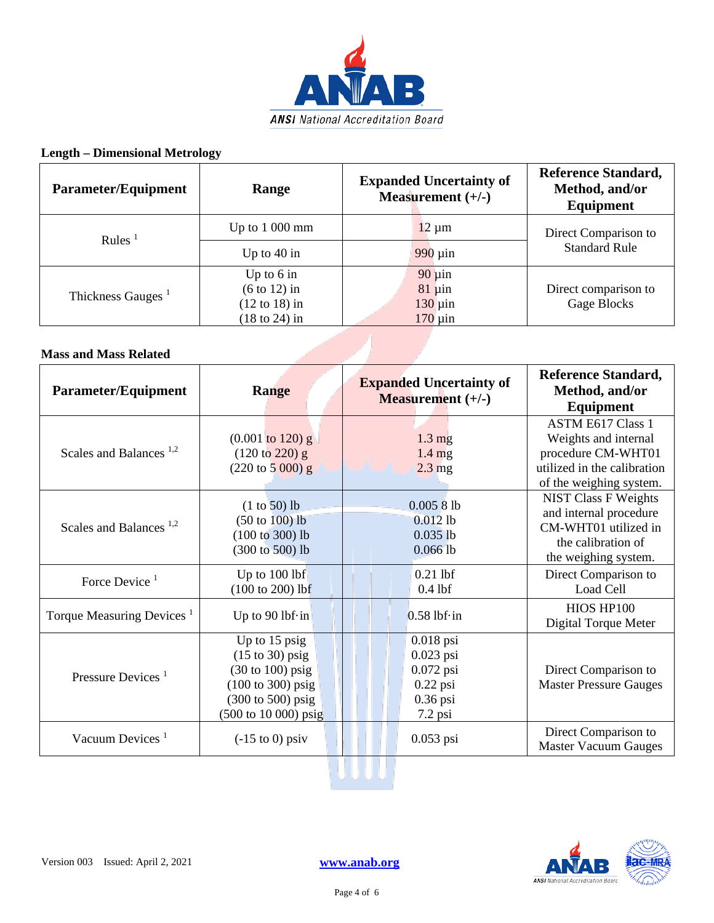

## **Length – Dimensional Metrology**

| Parameter/Equipment           | Range                                                                                           | <b>Expanded Uncertainty of</b><br>Measurement $(+/-)$      | <b>Reference Standard,</b><br>Method, and/or<br>Equipment |
|-------------------------------|-------------------------------------------------------------------------------------------------|------------------------------------------------------------|-----------------------------------------------------------|
| Rules $1$                     | Up to $1000$ mm                                                                                 | $12 \mu m$                                                 | Direct Comparison to                                      |
|                               | Up to $40$ in                                                                                   | $990 \mu$ in                                               | <b>Standard Rule</b>                                      |
| Thickness Gauges <sup>1</sup> | Up to $6$ in<br>$(6 \text{ to } 12)$ in<br>$(12 \text{ to } 18)$ in<br>$(18 \text{ to } 24)$ in | $90 \mu$ in<br>$81 \mu$ in<br>$130 \mu$ in<br>$170 \mu$ in | Direct comparison to<br>Gage Blocks                       |
| <b>Mass and Mass Related</b>  |                                                                                                 |                                                            |                                                           |

### **Mass and Mass Related**

| <b>Parameter/Equipment</b>               | Range                                                                                                                                                           | <b>Expanded Uncertainty of</b><br><b>Measurement</b> $(+/-)$                       | <b>Reference Standard,</b><br>Method, and/or<br><b>Equipment</b>                                                                 |
|------------------------------------------|-----------------------------------------------------------------------------------------------------------------------------------------------------------------|------------------------------------------------------------------------------------|----------------------------------------------------------------------------------------------------------------------------------|
| Scales and Balances <sup>1,2</sup>       | $(0.001 \text{ to } 120) \text{ g}$<br>$(120 \text{ to } 220) \text{ g}$<br>$(220 \text{ to } 5000) \text{ g}$                                                  | $1.3 \text{ mg}$<br>$1.4 \text{ mg}$<br>$2.3 \text{ mg}$                           | <b>ASTM E617 Class 1</b><br>Weights and internal<br>procedure CM-WHT01<br>utilized in the calibration<br>of the weighing system. |
| Scales and Balances <sup>1,2</sup>       | $(1 to 50)$ lb<br>$(50 \text{ to } 100)$ lb<br>$(100 to 300)$ lb<br>(300 to 500) lb                                                                             | 0.00581b<br>$0.012$ lb<br>$0.035$ lb<br>0.0661b                                    | <b>NIST Class F Weights</b><br>and internal procedure<br>CM-WHT01 utilized in<br>the calibration of<br>the weighing system.      |
| Force Device <sup><math>1</math></sup>   | Up to $100$ lbf<br>$(100 to 200)$ lbf                                                                                                                           | $0.21$ lbf<br>$0.4$ lbf                                                            | Direct Comparison to<br>Load Cell                                                                                                |
| Torque Measuring Devices <sup>1</sup>    | Up to 90 lbf $\cdot$ in                                                                                                                                         | $0.58$ lbf $\cdot$ in                                                              | HIOS HP100<br>Digital Torque Meter                                                                                               |
| Pressure Devices <sup>1</sup>            | Up to 15 psig<br>$(15 \text{ to } 30)$ psig<br>$(30 \text{ to } 100)$ psig<br>$(100 \text{ to } 300) \text{ psig}$<br>(300 to 500) psig<br>(500 to 10 000) psig | $0.018$ psi<br>$0.023$ psi<br>$0.072$ psi<br>$0.22$ psi<br>$0.36$ psi<br>$7.2$ psi | Direct Comparison to<br><b>Master Pressure Gauges</b>                                                                            |
| Vacuum Devices <sup><math>1</math></sup> | $(-15 \text{ to } 0)$ psiv                                                                                                                                      | $0.053$ psi                                                                        | Direct Comparison to<br><b>Master Vacuum Gauges</b>                                                                              |

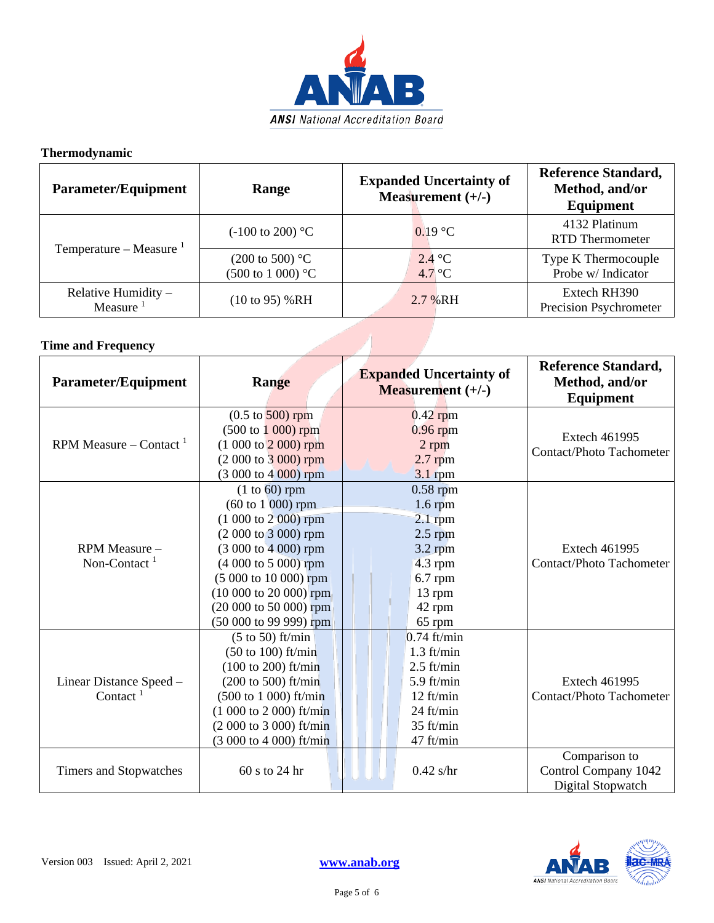

## **Thermodynamic**

| <b>Parameter/Equipment</b>         | Range                                                     | <b>Expanded Uncertainty of</b><br>Measurement $(+/-)$ | <b>Reference Standard,</b><br>Method, and/or<br>Equipment |
|------------------------------------|-----------------------------------------------------------|-------------------------------------------------------|-----------------------------------------------------------|
| Temperature – Measure $1$          | $(-100 \text{ to } 200)$ °C                               | $0.19 \text{ °C}$                                     | 4132 Platinum<br><b>RTD</b> Thermometer                   |
|                                    | $(200 \text{ to } 500)$ °C<br>$(500 \text{ to } 1000)$ °C | 2.4 °C<br>$4.7^{\circ}$ C                             | Type K Thermocouple<br>Probe w/ Indicator                 |
| Relative Humidity -<br>Measure $1$ | $(10 \text{ to } 95)$ %RH                                 | 2.7 % RH                                              | Extech RH390<br>Precision Psychrometer                    |

# **Time and Frequency**

| <b>Parameter/Equipment</b>                      | Range                                                                                                                                                                                                                                                                               | <b>Expanded Uncertainty of</b><br><b>Measurement</b> $(+/-)$                                                          | <b>Reference Standard,</b><br>Method, and/or<br>Equipment  |
|-------------------------------------------------|-------------------------------------------------------------------------------------------------------------------------------------------------------------------------------------------------------------------------------------------------------------------------------------|-----------------------------------------------------------------------------------------------------------------------|------------------------------------------------------------|
| RPM Measure – Contact <sup>1</sup>              | $(0.5 \text{ to } 500) \text{ rpm}$<br>$(500 \text{ to } 1000) \text{ rpm}$<br>$(1000 to 2000)$ rpm<br>$(2000 to 3000)$ rpm<br>$(3000 to 4000)$ rpm                                                                                                                                 | $0.42$ rpm<br>$0.96$ rpm<br>2 rpm<br>$2.7$ rpm<br>3.1 rpm                                                             | <b>Extech 461995</b><br><b>Contact/Photo Tachometer</b>    |
| RPM Measure -<br>Non-Contact <sup>1</sup>       | $(1 to 60)$ rpm<br>$(60 \text{ to } 1 \, 000) \text{ rpm}$<br>$(1000 to 2000)$ rpm<br>(2 000 to 3 000) rpm<br>$(3000 to 4000)$ rpm<br>$(4000 \text{ to } 5000)$ rpm<br>(5 000 to 10 000) rpm<br>$(10000 \text{ to } 20000)$ rpm<br>(20 000 to 50 000) rpm<br>$(50000 to 9999)$ rpm  | $0.58$ rpm<br>$1.6$ rpm<br>$2.1$ rpm<br>$2.5$ rpm<br>$3.2$ rpm<br>4.3 rpm<br>$6.7$ rpm<br>13 rpm<br>42 rpm<br>65 rpm  | <b>Extech 461995</b><br><b>Contact/Photo Tachometer</b>    |
| Linear Distance Speed -<br>Contact <sup>1</sup> | $(5 \text{ to } 50)$ ft/min<br>$(50 \text{ to } 100)$ ft/min<br>$(100 \text{ to } 200)$ ft/min<br>$(200 \text{ to } 500)$ ft/min<br>$(500 \text{ to } 1000) \text{ ft/min}$<br>$(1\ 000\ to\ 2\ 000)$ ft/min<br>(2 000 to 3 000) ft/min<br>$(3000 \text{ to } 4000) \text{ ft/min}$ | $0.74$ ft/min<br>$1.3$ ft/min<br>$2.5$ ft/min<br>5.9 ft/min<br>$12$ ft/min<br>$24$ ft/min<br>$35$ ft/min<br>47 ft/min | <b>Extech 461995</b><br><b>Contact/Photo Tachometer</b>    |
| Timers and Stopwatches                          | 60 s to 24 hr                                                                                                                                                                                                                                                                       | $0.42$ s/hr                                                                                                           | Comparison to<br>Control Company 1042<br>Digital Stopwatch |